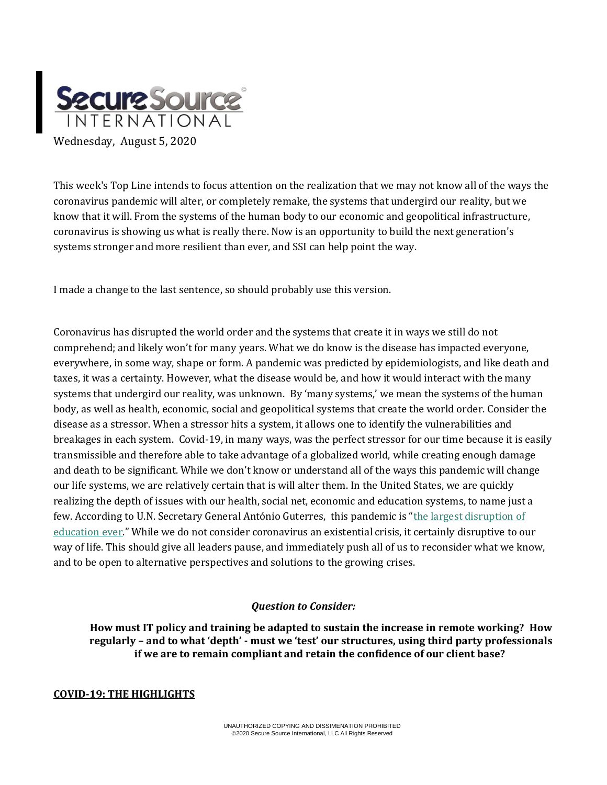

This week's Top Line intends to focus attention on the realization that we may not know all of the ways the coronavirus pandemic will alter, or completely remake, the systems that undergird our reality, but we know that it will. From the systems of the human body to our economic and geopolitical infrastructure, coronavirus is showing us what is really there. Now is an opportunity to build the next generation's systems stronger and more resilient than ever, and SSI can help point the way.

I made a change to the last sentence, so should probably use this version.

Coronavirus has disrupted the world order and the systems that create it in ways we still do not comprehend; and likely won't for many years. What we do know is the disease has impacted everyone, everywhere, in some way, shape or form. A pandemic was predicted by epidemiologists, and like death and taxes, it was a certainty. However, what the disease would be, and how it would interact with the many systems that undergird our reality, was unknown. By 'many systems,' we mean the systems of the human body, as well as health, economic, social and geopolitical systems that create the world order. Consider the disease as a stressor. When a stressor hits a system, it allows one to identify the vulnerabilities and breakages in each system. Covid-19, in many ways, was the perfect stressor for our time because it is easily transmissible and therefore able to take advantage of a globalized world, while creating enough damage and death to be significant. While we don't know or understand all of the ways this pandemic will change our life systems, we are relatively certain that is will alter them. In the United States, we are quickly realizing the depth of issues with our health, social net, economic and education systems, to name just a few. According to U.N. Secretary General António Guterres, this pandemic is "[the largest disruption of](https://www.msn.com/en-us/news/world/closing-schools-around-the-world-could-cause-a-generational-catastrophe-u-n-secretary-general-warns/ar-BB17ySQp?ocid=hponeservicefeed)  [education ever](https://www.msn.com/en-us/news/world/closing-schools-around-the-world-could-cause-a-generational-catastrophe-u-n-secretary-general-warns/ar-BB17ySQp?ocid=hponeservicefeed)." While we do not consider coronavirus an existential crisis, it certainly disruptive to our way of life. This should give all leaders pause, and immediately push all of us to reconsider what we know, and to be open to alternative perspectives and solutions to the growing crises.

### *Question to Consider:*

**How must IT policy and training be adapted to sustain the increase in remote working? How regularly – and to what 'depth' - must we 'test' our structures, using third party professionals if we are to remain compliant and retain the confidence of our client base?**

## **COVID-19: THE HIGHLIGHTS**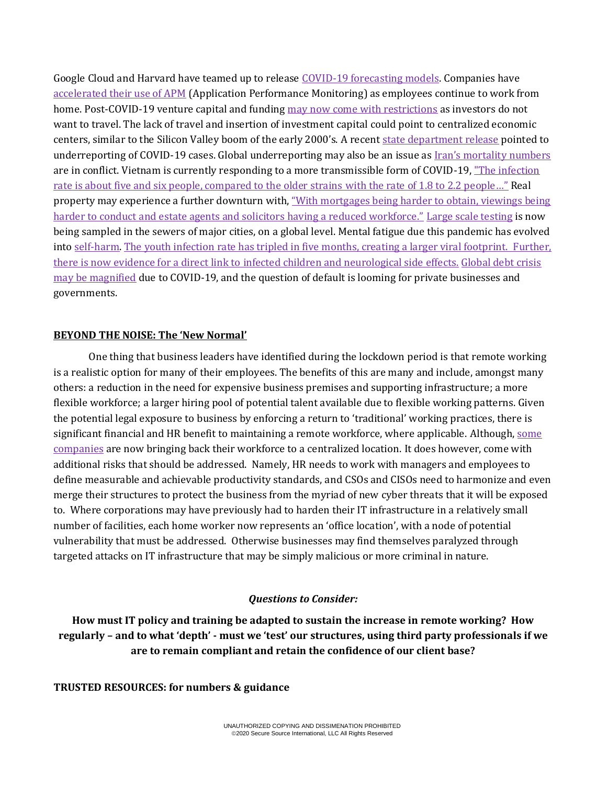Google Cloud and Harvard have teamed up to releas[e COVID-19 forecasting models.](https://cloud.google.com/blog/products/ai-machine-learning/google-cloud-is-releasing-the-covid-19-public-forecasts) Companies have [accelerated their use of APM](file:///C:/Users/theNa/AppData/Local/Microsoft/Windows/INetCache/Content.Outlook/5VFWQ1XZ/.%20%20https:/haydenjames.io/20-leading-companies-share-how-covid-19-is-accelerating-the-future-of-apm) (Application Performance Monitoring) as employees continue to work from home. Post-COVID-19 venture capital and funding [may now come with restrictions](https://rapidly.co/blog/founders-journey-fundraising-venture-capital-during-covid-19/) as investors do not want to travel. The lack of travel and insertion of investment capital could point to centralized economic centers, similar to the Silicon Valley boom of the early 2000's. A recent [state department release](https://www.sccgov.org/sites/covid19/Pages/dashboard.aspx) pointed to underreporting of COVID-19 cases. Global underreporting may also be an issue as [Iran's mortality numbers](https://www.bbc.com/news/world-middle-east-53598965) are in conflict. Vietnam is currently responding to a more transmissible form of COVID-19, ["The infection](https://asia.nikkei.com/Spotlight/Coronavirus/Vietnam-fights-new-COVID-19-strain-with-higher-infection-rate)  [rate is about five and six people, compared to the older strains](https://asia.nikkei.com/Spotlight/Coronavirus/Vietnam-fights-new-COVID-19-strain-with-higher-infection-rate) with the rate of 1.8 to 2.2 people…" Real property may experience a further downturn with, ["With mortgages being harder to obtain, viewings being](https://propprices.com/blog/the-effect-of-covid-19-on-the-property-industry)  harder to conduct [and estate agents and solicitors having a reduced workforce."](https://propprices.com/blog/the-effect-of-covid-19-on-the-property-industry) [Large scale testing](https://www.routefifty.com/tech-data/2020/07/track-prevalence-covid-19-cities-sewers/167354/) is now being sampled in the sewers of major cities, on a global level. Mental fatigue due this pandemic has evolved into [self-harm.](https://www.scmp.com/news/asia/southeast-asia/article/3096184/coronavirus-singapore-migrant-workers-self-harm-raises) [The youth infection rate has tripled in five months, creating a larger viral footprint. F](https://www.reuters.com/article/us-health-coronavirus-youth/proportion-of-youth-with-covid-19-triples-in-five-months-who-idUSKCN2502FS)urther, there is now evidence for a direct link to infected children and [neurological side effects.](https://www.nbcnews.com/health/health-news/covid-19-children-doctors-see-link-between-virus-neurological-side-n1235501) [Global debt crisis](https://www.theguardian.com/business/2020/aug/03/global-debt-crisis-relief-coronavirus-pandemic)  [may be magnified](https://www.theguardian.com/business/2020/aug/03/global-debt-crisis-relief-coronavirus-pandemic) due to COVID-19, and the question of default is looming for private businesses and governments.

### **BEYOND THE NOISE: The 'New Normal'**

One thing that business leaders have identified during the lockdown period is that remote working is a realistic option for many of their employees. The benefits of this are many and include, amongst many others: a reduction in the need for expensive business premises and supporting infrastructure; a more flexible workforce; a larger hiring pool of potential talent available due to flexible working patterns. Given the potential legal exposure to business by enforcing a return to 'traditional' working practices, there is significant financial and HR benefit to maintaining a remote workforce, where applicable. Although, [some](https://www.wpr.org/node/1678186)  [companies](https://www.wpr.org/node/1678186) are now bringing back their workforce to a centralized location. It does however, come with additional risks that should be addressed. Namely, HR needs to work with managers and employees to define measurable and achievable productivity standards, and CSOs and CISOs need to harmonize and even merge their structures to protect the business from the myriad of new cyber threats that it will be exposed to. Where corporations may have previously had to harden their IT infrastructure in a relatively small number of facilities, each home worker now represents an 'office location', with a node of potential vulnerability that must be addressed. Otherwise businesses may find themselves paralyzed through targeted attacks on IT infrastructure that may be simply malicious or more criminal in nature.

### *Questions to Consider:*

**How must IT policy and training be adapted to sustain the increase in remote working? How regularly – and to what 'depth' - must we 'test' our structures, using third party professionals if we are to remain compliant and retain the confidence of our client base?**

**TRUSTED RESOURCES: for numbers & guidance**